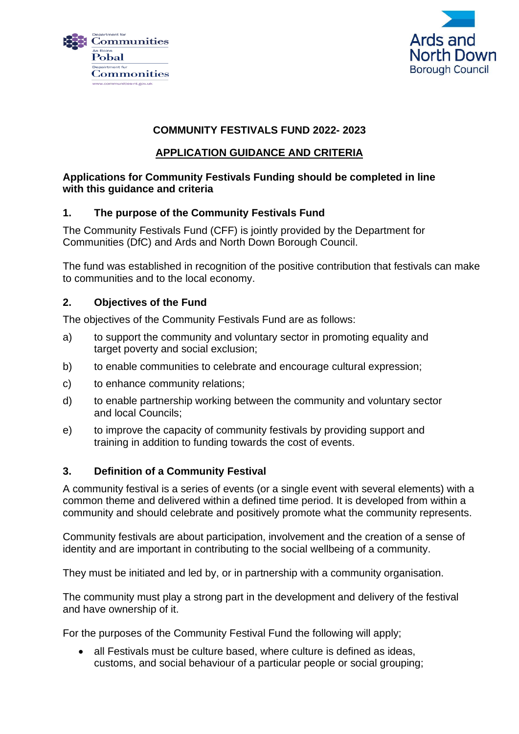



# **COMMUNITY FESTIVALS FUND 2022- 2023**

# **APPLICATION GUIDANCE AND CRITERIA**

## **Applications for Community Festivals Funding should be completed in line with this guidance and criteria**

# **1. The purpose of the Community Festivals Fund**

The Community Festivals Fund (CFF) is jointly provided by the Department for Communities (DfC) and Ards and North Down Borough Council.

The fund was established in recognition of the positive contribution that festivals can make to communities and to the local economy.

### **2. Objectives of the Fund**

The objectives of the Community Festivals Fund are as follows:

- a) to support the community and voluntary sector in promoting equality and target poverty and social exclusion;
- b) to enable communities to celebrate and encourage cultural expression;
- c) to enhance community relations;
- d) to enable partnership working between the community and voluntary sector and local Councils;
- e) to improve the capacity of community festivals by providing support and training in addition to funding towards the cost of events.

#### **3. Definition of a Community Festival**

A community festival is a series of events (or a single event with several elements) with a common theme and delivered within a defined time period. It is developed from within a community and should celebrate and positively promote what the community represents.

Community festivals are about participation, involvement and the creation of a sense of identity and are important in contributing to the social wellbeing of a community.

They must be initiated and led by, or in partnership with a community organisation.

The community must play a strong part in the development and delivery of the festival and have ownership of it.

For the purposes of the Community Festival Fund the following will apply;

• all Festivals must be culture based, where culture is defined as ideas, customs, and social behaviour of a particular people or social grouping;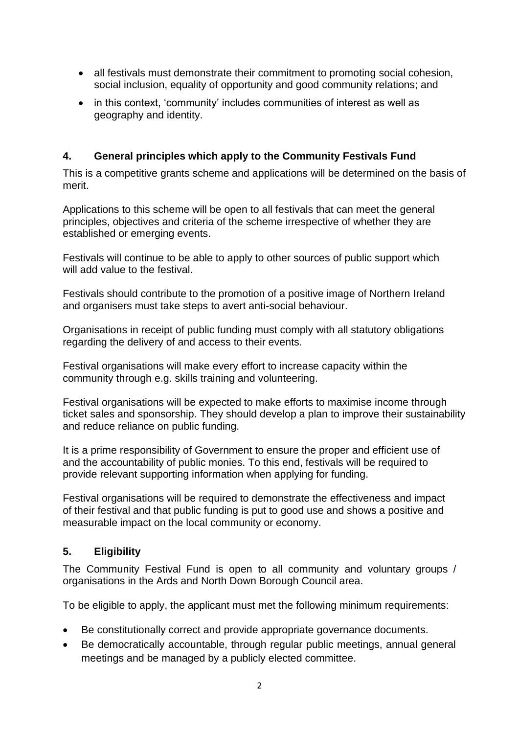- all festivals must demonstrate their commitment to promoting social cohesion, social inclusion, equality of opportunity and good community relations; and
- in this context, 'community' includes communities of interest as well as geography and identity.

# **4. General principles which apply to the Community Festivals Fund**

This is a competitive grants scheme and applications will be determined on the basis of merit.

Applications to this scheme will be open to all festivals that can meet the general principles, objectives and criteria of the scheme irrespective of whether they are established or emerging events.

Festivals will continue to be able to apply to other sources of public support which will add value to the festival.

Festivals should contribute to the promotion of a positive image of Northern Ireland and organisers must take steps to avert anti-social behaviour.

Organisations in receipt of public funding must comply with all statutory obligations regarding the delivery of and access to their events.

Festival organisations will make every effort to increase capacity within the community through e.g. skills training and volunteering.

Festival organisations will be expected to make efforts to maximise income through ticket sales and sponsorship. They should develop a plan to improve their sustainability and reduce reliance on public funding.

It is a prime responsibility of Government to ensure the proper and efficient use of and the accountability of public monies. To this end, festivals will be required to provide relevant supporting information when applying for funding.

Festival organisations will be required to demonstrate the effectiveness and impact of their festival and that public funding is put to good use and shows a positive and measurable impact on the local community or economy.

# **5. Eligibility**

The Community Festival Fund is open to all community and voluntary groups / organisations in the Ards and North Down Borough Council area.

To be eligible to apply, the applicant must met the following minimum requirements:

- Be constitutionally correct and provide appropriate governance documents.
- Be democratically accountable, through regular public meetings, annual general meetings and be managed by a publicly elected committee.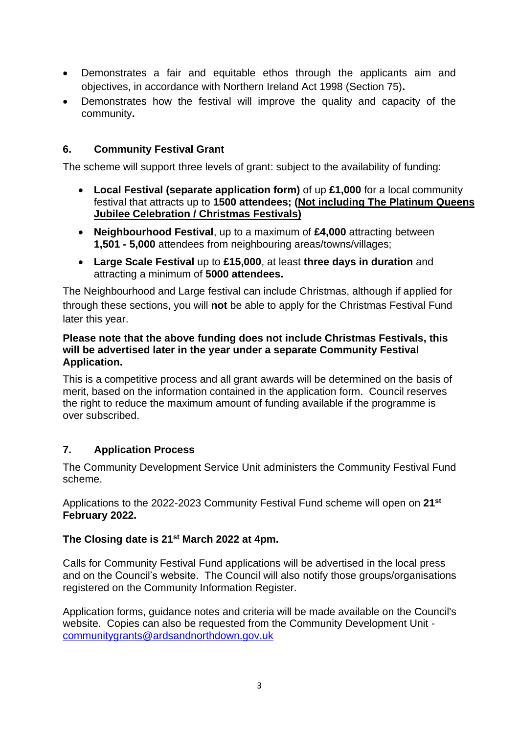- Demonstrates a fair and equitable ethos through the applicants aim and objectives, in accordance with Northern Ireland Act 1998 (Section 75)**.**
- Demonstrates how the festival will improve the quality and capacity of the community**.**

# **6. Community Festival Grant**

The scheme will support three levels of grant: subject to the availability of funding:

- **Local Festival (separate application form)** of up **£1,000** for a local community festival that attracts up to **1500 attendees; (Not including The Platinum Queens Jubilee Celebration / Christmas Festivals)**
- **Neighbourhood Festival**, up to a maximum of **£4,000** attracting between **1,501 - 5,000** attendees from neighbouring areas/towns/villages;
- **Large Scale Festival** up to **£15,000**, at least **three days in duration** and attracting a minimum of **5000 attendees.**

The Neighbourhood and Large festival can include Christmas, although if applied for through these sections, you will **not** be able to apply for the Christmas Festival Fund later this year.

#### **Please note that the above funding does not include Christmas Festivals, this will be advertised later in the year under a separate Community Festival Application.**

This is a competitive process and all grant awards will be determined on the basis of merit, based on the information contained in the application form. Council reserves the right to reduce the maximum amount of funding available if the programme is over subscribed.

# **7. Application Process**

The Community Development Service Unit administers the Community Festival Fund scheme.

Applications to the 2022-2023 Community Festival Fund scheme will open on **21st February 2022.** 

# **The Closing date is 21st March 2022 at 4pm.**

Calls for Community Festival Fund applications will be advertised in the local press and on the Council's website. The Council will also notify those groups/organisations registered on the Community Information Register.

Application forms, guidance notes and criteria will be made available on the Council's website. Copies can also be requested from the Community Development Unit [communitygrants@ardsandnorthdown.gov.uk](mailto:communitygrants@ardsandnorthdown.gov.uk)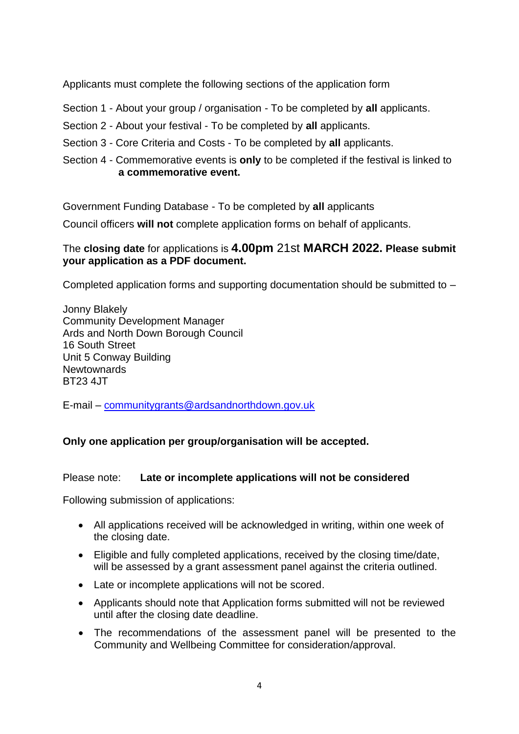Applicants must complete the following sections of the application form

Section 1 - About your group / organisation - To be completed by **all** applicants.

Section 2 - About your festival - To be completed by **all** applicants.

Section 3 - Core Criteria and Costs - To be completed by **all** applicants.

Section 4 - Commemorative events is **only** to be completed if the festival is linked to **a commemorative event.**

Government Funding Database - To be completed by **all** applicants

Council officers **will not** complete application forms on behalf of applicants.

# The **closing date** for applications is **4.00pm** 21st **MARCH 2022. Please submit your application as a PDF document.**

Completed application forms and supporting documentation should be submitted to –

Jonny Blakely Community Development Manager Ards and North Down Borough Council 16 South Street Unit 5 Conway Building Newtownards BT23 4JT

E-mail – [communitygrants@ardsandnorthdown.gov.uk](mailto:communitygrants@ardsandnorthdown.gov.uk)

# **Only one application per group/organisation will be accepted.**

# Please note: **Late or incomplete applications will not be considered**

Following submission of applications:

- All applications received will be acknowledged in writing, within one week of the closing date.
- Eligible and fully completed applications, received by the closing time/date, will be assessed by a grant assessment panel against the criteria outlined.
- Late or incomplete applications will not be scored.
- Applicants should note that Application forms submitted will not be reviewed until after the closing date deadline.
- The recommendations of the assessment panel will be presented to the Community and Wellbeing Committee for consideration/approval.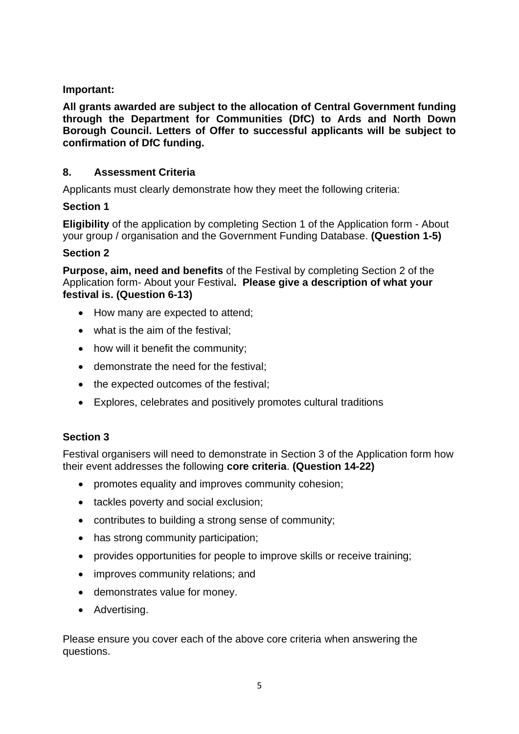## **Important:**

**All grants awarded are subject to the allocation of Central Government funding through the Department for Communities (DfC) to Ards and North Down Borough Council. Letters of Offer to successful applicants will be subject to confirmation of DfC funding.**

### **8. Assessment Criteria**

Applicants must clearly demonstrate how they meet the following criteria:

### **Section 1**

**Eligibility** of the application by completing Section 1 of the Application form - About your group / organisation and the Government Funding Database. **(Question 1-5)**

### **Section 2**

**Purpose, aim, need and benefits** of the Festival by completing Section 2 of the Application form- About your Festival**. Please give a description of what your festival is. (Question 6-13)**

- How many are expected to attend:
- what is the aim of the festival:
- how will it benefit the community;
- demonstrate the need for the festival;
- the expected outcomes of the festival;
- Explores, celebrates and positively promotes cultural traditions

# **Section 3**

Festival organisers will need to demonstrate in Section 3 of the Application form how their event addresses the following **core criteria**. **(Question 14-22)**

- promotes equality and improves community cohesion;
- tackles poverty and social exclusion;
- contributes to building a strong sense of community;
- has strong community participation;
- provides opportunities for people to improve skills or receive training;
- improves community relations; and
- demonstrates value for money.
- Advertising.

Please ensure you cover each of the above core criteria when answering the questions.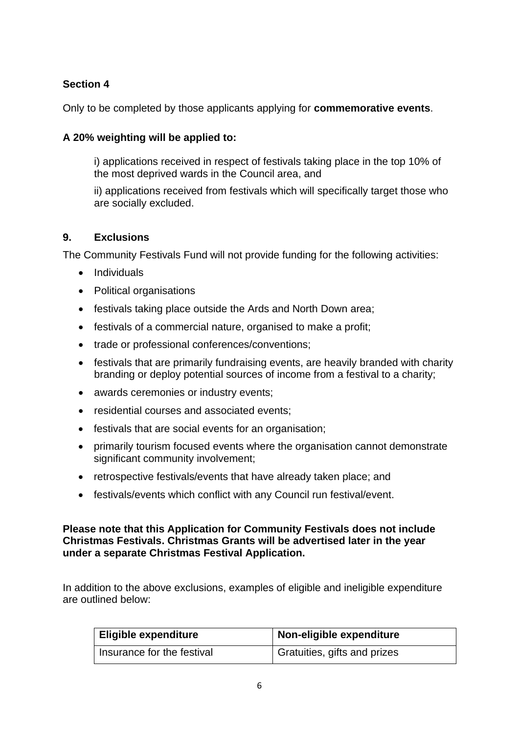# **Section 4**

Only to be completed by those applicants applying for **commemorative events**.

# **A 20% weighting will be applied to:**

i) applications received in respect of festivals taking place in the top 10% of the most deprived wards in the Council area, and

ii) applications received from festivals which will specifically target those who are socially excluded.

# **9. Exclusions**

The Community Festivals Fund will not provide funding for the following activities:

- Individuals
- Political organisations
- festivals taking place outside the Ards and North Down area;
- festivals of a commercial nature, organised to make a profit;
- trade or professional conferences/conventions;
- festivals that are primarily fundraising events, are heavily branded with charity branding or deploy potential sources of income from a festival to a charity;
- awards ceremonies or industry events;
- residential courses and associated events;
- festivals that are social events for an organisation;
- primarily tourism focused events where the organisation cannot demonstrate significant community involvement;
- retrospective festivals/events that have already taken place; and
- festivals/events which conflict with any Council run festival/event.

**Please note that this Application for Community Festivals does not include Christmas Festivals. Christmas Grants will be advertised later in the year under a separate Christmas Festival Application.**

In addition to the above exclusions, examples of eligible and ineligible expenditure are outlined below:

| Eligible expenditure       | Non-eligible expenditure     |
|----------------------------|------------------------------|
| Insurance for the festival | Gratuities, gifts and prizes |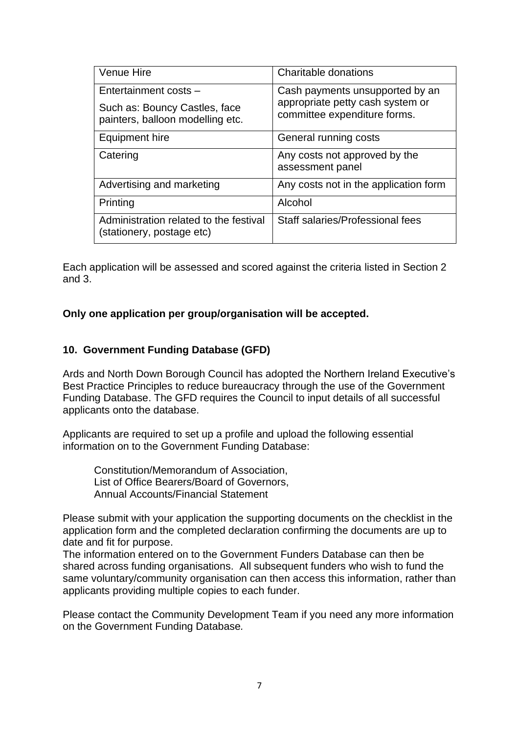| <b>Venue Hire</b>                                                                          | Charitable donations                                                                                |
|--------------------------------------------------------------------------------------------|-----------------------------------------------------------------------------------------------------|
| Entertainment costs -<br>Such as: Bouncy Castles, face<br>painters, balloon modelling etc. | Cash payments unsupported by an<br>appropriate petty cash system or<br>committee expenditure forms. |
| Equipment hire                                                                             | General running costs                                                                               |
| Catering                                                                                   | Any costs not approved by the<br>assessment panel                                                   |
| Advertising and marketing                                                                  | Any costs not in the application form                                                               |
| Printing                                                                                   | Alcohol                                                                                             |
| Administration related to the festival<br>(stationery, postage etc)                        | Staff salaries/Professional fees                                                                    |

Each application will be assessed and scored against the criteria listed in Section 2 and 3.

### **Only one application per group/organisation will be accepted.**

#### **10. Government Funding Database (GFD)**

Ards and North Down Borough Council has adopted the Northern Ireland Executive's Best Practice Principles to reduce bureaucracy through the use of the Government Funding Database. The GFD requires the Council to input details of all successful applicants onto the database.

Applicants are required to set up a profile and upload the following essential information on to the Government Funding Database:

Constitution/Memorandum of Association, List of Office Bearers/Board of Governors, Annual Accounts/Financial Statement

Please submit with your application the supporting documents on the checklist in the application form and the completed declaration confirming the documents are up to date and fit for purpose.

The information entered on to the Government Funders Database can then be shared across funding organisations. All subsequent funders who wish to fund the same voluntary/community organisation can then access this information, rather than applicants providing multiple copies to each funder.

Please contact the Community Development Team if you need any more information on the Government Funding Database*.*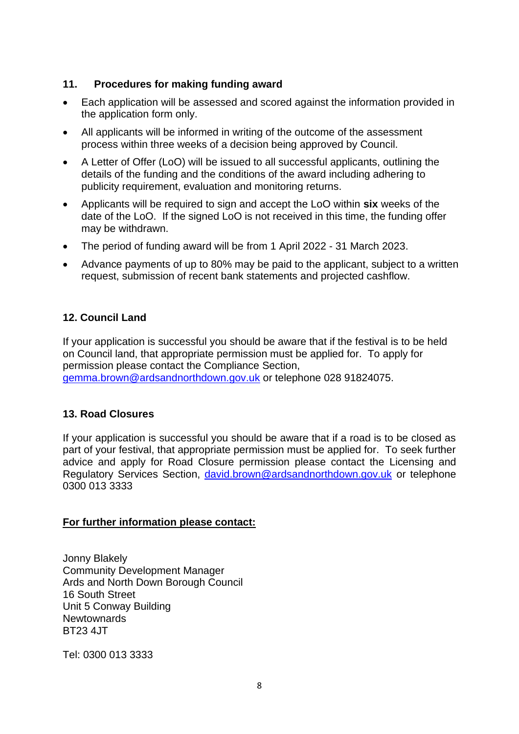## **11. Procedures for making funding award**

- Each application will be assessed and scored against the information provided in the application form only.
- All applicants will be informed in writing of the outcome of the assessment process within three weeks of a decision being approved by Council.
- A Letter of Offer (LoO) will be issued to all successful applicants, outlining the details of the funding and the conditions of the award including adhering to publicity requirement, evaluation and monitoring returns.
- Applicants will be required to sign and accept the LoO within **six** weeks of the date of the LoO. If the signed LoO is not received in this time, the funding offer may be withdrawn.
- The period of funding award will be from 1 April 2022 31 March 2023.
- Advance payments of up to 80% may be paid to the applicant, subject to a written request, submission of recent bank statements and projected cashflow.

# **12. Council Land**

If your application is successful you should be aware that if the festival is to be held on Council land, that appropriate permission must be applied for. To apply for permission please contact the Compliance Section, [gemma.brown@ardsandnorthdown.gov.uk](mailto:gemma.brown@ardsandnorthdown.gov.uk) or telephone 028 91824075.

#### **13. Road Closures**

If your application is successful you should be aware that if a road is to be closed as part of your festival, that appropriate permission must be applied for. To seek further advice and apply for Road Closure permission please contact the Licensing and Regulatory Services Section, [david.brown@ardsandnorthdown.gov.uk](mailto:david.brown@ardsandnorthdown.gov.uk) or telephone 0300 013 3333

#### **For further information please contact:**

Jonny Blakely Community Development Manager Ards and North Down Borough Council 16 South Street Unit 5 Conway Building Newtownards BT23 4JT

Tel: 0300 013 3333